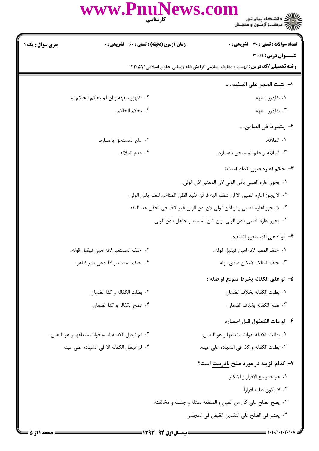|                 | www.PnuNews.com<br>كارشناسي                        | ريسته دانشگاه پيام نور<br>پارالان مرکــز آزمـون و سنجـش                                 |
|-----------------|----------------------------------------------------|-----------------------------------------------------------------------------------------|
| سری سوال : یک ۱ | <b>زمان آزمون (دقیقه) : تستی : 60 ٪ تشریحی : 0</b> | <b>تعداد سوالات : تستی : 30 ٪ تشریحی : 0</b>                                            |
|                 |                                                    | عنــوان درس: فقه 3                                                                      |
|                 |                                                    | <b>رشته تحصیلی/کد درس: ا</b> لهیات و معارف اسلامی گرایش فقه ومبانی حقوق اسلامی2210 1220 |
|                 |                                                    | ا–  يثبت الحجر على السفيه ….                                                            |
|                 | ٢. بظهور سفهه و ان لم يحكم الحاكم به.              | ۰۱ بظهور سفهه.                                                                          |
|                 | ۰۴ بحكم الحاكم.                                    | ۰۳ بظهور سفهه.                                                                          |
|                 |                                                    | ٢– يشترط في الضامن                                                                      |
|                 | ٢. علم المستحق باعساره.                            | ١. الملائه.                                                                             |
|                 | ۰۴ عدم الملائه                                     | ٠٣ الملائه او علم المستحق باعساره.                                                      |
|                 |                                                    | <b>۳</b> - حکم اعاره صبی کدام است؟                                                      |
|                 |                                                    | ٠١. يجوز اعاره الصبي باذن الولي لان المعتبر اذن الولي.                                  |
|                 |                                                    | ٢ .  لا يجوز اعاره الصبي الا ان تنضم اليه قرائن تفيد الظن المتاخم للعلم باذن الولي.     |
|                 |                                                    | ٠٣ لا يجوز اعاره الصبي و لو اذن الولى لان اذن الولى غير كاف في تحقق هذا العقد.          |
|                 |                                                    | ۰۴ يجوز اعاره الصبي باذن الولي  وان كان المستعير جاهل باذن الولي.                       |
|                 |                                                    | ۴– لو ادعى المستعير التلف:                                                              |
|                 | ٢.  حلف المستعير لانه امين فيقبل قوله              | ٠١. حلف المعير لانه امين فيقبل قوله                                                     |
|                 | ۴.  حلف المستعير اذا ادعى بامر ظاهر.               | ٠٣ حلف المالك لامكان صدق قوله.                                                          |
|                 |                                                    | ۵– لو علق الكفاله بشرط متوقع او صفه :                                                   |
|                 | ٠٢ بطلت الكفاله و كذا الضمان.                      | ٠١. بطلت الكفاله بخلاف الضمان.                                                          |
|                 | ۰۴ تصح الكفاله و كذا الضمان.                       | ٠٣ تصح الكفاله بخلاف الضمان.                                                            |
|                 |                                                    | ۶– لو مات الكمفول قبل احضاره                                                            |
|                 | ٢ . لم تبطل الكفاله لعدم فوات متعلقها و هو النفس.  | ٠١. بطلت الكفاله لفوات متعلقها و هو النفس.                                              |
|                 | ۰۴ لم تبطل الكفاله الا في الشهاده على عينه.        | ٠٣ بطلت الكفاله و كذا في الشهاده على عينه.                                              |
|                 |                                                    | ۷- کدام گزینه در مورد صلح نادرست است؟                                                   |
|                 |                                                    | ٠١. هو جائز مع الاقرار و الانكار.                                                       |
|                 |                                                    | ۰۲ لا يكون طلبه اقراراً.                                                                |
|                 |                                                    |                                                                                         |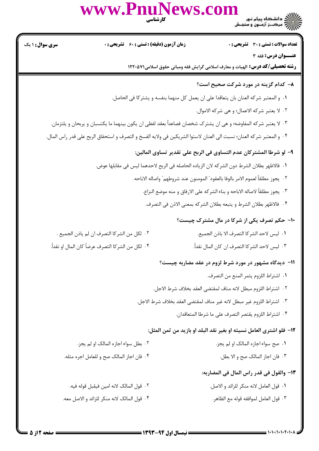كارشناسي **[www.PnuNews.com](http://www.pnunews.com)**

| <b>سری سوال : ۱ یک</b>                               |                                              | <b>زمان آزمون (دقیقه) : تستی : 60 ٪ تشریحی : 0</b>                                                                   |                                                                                  | <b>تعداد سوالات : تستی : 30 ٪ تشریحی : 0</b> |
|------------------------------------------------------|----------------------------------------------|----------------------------------------------------------------------------------------------------------------------|----------------------------------------------------------------------------------|----------------------------------------------|
|                                                      |                                              | <b>رشته تحصیلی/کد درس:</b> الهیات و معارف اسلامی گرایش فقه ومبانی حقوق اسلامی۱۲۲۰۵۷۱                                 |                                                                                  | عنــوان درس: فقه 3                           |
|                                                      |                                              |                                                                                                                      | ۸– کدام گزینه در مورد شرکت صحیح است؟                                             |                                              |
|                                                      |                                              | ٠١ و المعتبر شركه العنان بان يتعاقدا على ان يعمل كل منهما بنفسه و يشتركا في الحاصل.                                  |                                                                                  |                                              |
|                                                      |                                              |                                                                                                                      | ٠٢ لا يعتبر شركه الاعمال؛ و هي شركه الاموال.                                     |                                              |
|                                                      |                                              | ٠٣ لا يعتبر شركه المفاوضه؛ و هي ان يشترك شخصان فصاعداً بعقد لفظي ان يكون بينهما ما يكتسبان و يربحان و يلتزمان.       |                                                                                  |                                              |
|                                                      |                                              | ۰۴ و المعتبر شركه العنان؛ نسبت الى العنان لاستوا الشريكين فى ولايه الفسخ و التصرف و استحقاق الربح على قدر راس المال. |                                                                                  |                                              |
|                                                      |                                              |                                                                                                                      | ٩– لو شرطا المشتركان عدم التساوى في الربح على تقدير تساوى المالين:               |                                              |
|                                                      |                                              | ٠١. فالاظهر بطلان الشرط دون الشركه لان الزياده الحاصله في الربح لاحدهما ليس في مقابلها عوض.                          |                                                                                  |                                              |
|                                                      |                                              |                                                                                                                      | ٢.  يجوز مطلقاً لعموم الامر بالوفا بالعقود" المومنون عند شروطهم" واصاله الاباحه. |                                              |
|                                                      |                                              |                                                                                                                      | ٣.  يجوز مطلقاً لاصاله الاباحه و بناء الشركه على الارفاق و منه موضع النزاع.      |                                              |
|                                                      |                                              |                                                                                                                      | ۰۴ فالاظهر بطلان الشرط و يتبعه بطلان الشركه بمعنى الاذن في التصرف.               |                                              |
|                                                      |                                              |                                                                                                                      | ۱۰- حکم تصرف یکی از شرکا در مال مشترک چیست؟                                      |                                              |
|                                                      | ٢.  لكل من الشركا التصرف ان لم ياذن الجميع . |                                                                                                                      | ٠١. ليس لاحد الشركا التصرف الا باذن الجميع.                                      |                                              |
| ۴ ·  لكل من الشر كا التصرف عرضاً كان المال او نقداً. |                                              |                                                                                                                      | ٠٣ ليس لاحد الشركا التصرف ان كان المال نقداً.                                    |                                              |
|                                                      |                                              |                                                                                                                      | 11- دیدگاه مشهور در مورد شرط لزوم در عقد مضاربه چیست؟                            |                                              |
|                                                      |                                              |                                                                                                                      | ٠١. اشتراط اللزوم يثمر المنع من التصرف.                                          |                                              |
|                                                      |                                              |                                                                                                                      | ٠٢ اشتراط اللزوم مبطل لانه مناف لمقتضى العقد بخلاف شرط الاجل.                    |                                              |
|                                                      |                                              |                                                                                                                      | ٣. اشتراط اللزوم غير مبطل لانه غير مناف لمقتضى العقد بخلاف شرط الاجل.            |                                              |
|                                                      |                                              |                                                                                                                      | ۴ · اشتراط اللزوم يقتصر التصرف على ما شرطا المتعاقدان.                           |                                              |
|                                                      |                                              |                                                                                                                      | 1۲-  فلو اشترى العامل نسيئه او بغير نقد البلد او بازيد من ثمن المثل:             |                                              |
|                                                      | ۰۲ بطل سواء اجازه المالک او لم يجز.          |                                                                                                                      |                                                                                  | ۰۱ صح سواء اجازه المالک او لم يجز.           |
|                                                      | ۰۴ فان اجاز المالک صح و للعامل اجره مثله.    |                                                                                                                      |                                                                                  | ٠٣ فان اجاز المالک صح و الا بطل.             |
|                                                      |                                              |                                                                                                                      | 1۳– والقول في قدر راس المال في المضاربه:                                         |                                              |
|                                                      | ٢. قول المالك لانه امين فيقبل قوله فيه.      |                                                                                                                      | ١.  قول العامل لانه منكر للزائد و الاصل.                                         |                                              |
|                                                      | ۴. قول المالک لانه منکر للزائد و الاصل معه.  |                                                                                                                      |                                                                                  | ٠٣ قول العامل لموافقه قوله مع الظاهر.        |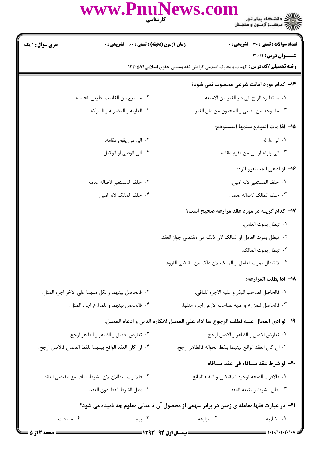www.Pnur **ws.com** ر دانشڪاه پيام نور در در در در در شور در در در شور در در در در در در در در در در در شهر شور در دانو کاربرد در <br>جزائم در در در انواع در انواع در سنجنش **زمان آزمون (دقیقه) : تستی : 60 گشریحی: 0** تعداد سوالات : تستى : 30 - تشريحي : 0

عنــوان درس: فقه 3

رشته تحصیلی/کد درس: الهیات و معارف اسلامی گرایش فقه ومبانی حقوق اسلامی۱۲۲۰۵۷۱

# **۱۴- کدام مورد امانت شرعی محسوب نمی شود؟**

- ٠١. ما تطيره الريح الي دار الغير من الامتعه.
- ٠٣ ما يوخذ من الصبي و المجنون من مال الغير.

## 1۵– اذا مات المودع سلمها المستودع:

- ۱. الى وارثه. ٢ . الى من يقوم مقامه.
- ۰۳ الی وارثه او الی من یقوم مقامه. ۰۴ الى الوصى او الوكيل.

# ۱۶– لو ادعى المستعير الرد:

٢. حلف المستعير لاصاله عدمه. ٠١. حلف المستعير لانه امين. ۴ . حلف المالک لانه امین ٠٣ حلف المالک لاصاله عدمه.

# **۱۷- کدام گزینه در مورد عقد مزارعه صحیح است**؟

- ٠١ تبطل بموت العامل.
- ٢٠- تبطل بموت العامل او المالک لان ذلک من مقتضى جواز العقد.
	- ۰۳ تبطل بموت المالک.
	- ۰۴ لا تبطل بموت العامل او المالک لان ذلک من مقتضى اللزوم.

#### 1٨- اذا بطلت المزارعه:

| ٠٢ فالحاصل بينهما و لكل منهما على الآخر اجره المثل. | ٠١. فالحاصل لصاحب البذر و عليه الاجره للباقي.     |
|-----------------------------------------------------|---------------------------------------------------|
| ۰۴ فالحاصل بينهما و للمزارع اجره المثل.             | ٠٣ فالحاصل للمزارع و عليه لصاحب الارض اجره مثلها. |

#### 19- لو ادى المحال عليه فطلب الرجوع بما اداه على المحيل لانكاره الدين و ادعاه المحيل:

| ٢٠ تعارض الاصل و الظاهر و الظاهر ارجح.                    | ٠١ تعارض الاصل و الظاهر و الاصل ارجح.                       |
|-----------------------------------------------------------|-------------------------------------------------------------|
| . * · ان كان العقد الواقع بينهما بلفظ الضمان فالاصل ارجح. | . ٣ · ان كان العقد الواقع بينهما بلفظ الحواله فالظاهر ارجح. |

#### **۲۰**- لو شرط عقد مساقاه في عقد مساقاه:

٠١. فالاقرب الصحه لوجود المقتضى و انتفاء المانع. ٢. فالاقرب البطلان لان الشرط مناف مع مقتضى العقد. ۴. بطل الشرط فقط دون العقد. ٢. بطل الشرط و يتبعه العقد.

**۲۱**- در عبارت فقها،معامله ی زمین در برابر سهمی از محصول آن تا مدتی معلوم چه نامیده می شود؟

۰۴ مساقات ۰۲ مزارعه ۰۳ بیع ۰۱ مضاربه

**سری سوال : ۱ یک** 

٢. ما ينزع من الغاصب بطريق الحسبه.

۰۴ العاريه و المضاربه و الشركه..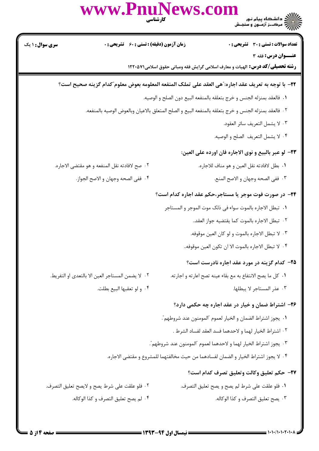|                        | WWW.PnuNews.com                                   | )<br>)))))) دانشگاه پیام نور<br>)))))) مرکبز آزمون و سنجش                                                  |
|------------------------|---------------------------------------------------|------------------------------------------------------------------------------------------------------------|
| <b>سری سوال : ۱ یک</b> | زمان آزمون (دقیقه) : تستی : 60 ٪ تشریحی : 0       | <b>تعداد سوالات : تستی : 30 ٪ تشریحی : 0</b>                                                               |
|                        |                                                   | عنــوان درس: فقه 3<br><b>رشته تحصیلی/کد درس:</b> الهیات و معارف اسلامی گرایش فقه ومبانی حقوق اسلامی۱۲۲۰۵۷۱ |
|                        |                                                   | ٢٢- با توجه به تعريف عقد اجاره: ّهى العقد على تملك المنفعه المعلومه بعوض معلوم ّكدام گزينه صحيح است؟       |
|                        |                                                   | ٠١. فالعقد بمنزله الجنس و خرج بتعلقه بالمنفعه البيع دون الصلح و الوصيه.                                    |
|                        |                                                   | ٢٠- فالعقد بمنزله الجنس و خرج بتعلقه بالمنفعه البيع و الصلح المتعلق بالاعيان وبالعوض الوصيه بالمنفعه.      |
|                        |                                                   | ٠٣ لا يشمل التعريف سائر العقود.                                                                            |
|                        |                                                   | ۰۴ لا يشمل التعريف الصلح و الوصيه.                                                                         |
|                        |                                                   | ٢٣- لو عبر بالبيع و نوى الاجاره فان اورده على العين:                                                       |
|                        | ٢. صح لافادته نقل المنفعه و هو مقتضى الاجاره.     | ٠١. بطل لافادته نقل العين و هو مناف للاجاره.                                                               |
|                        | ۰۴ ففي الصحه وجهان و الاصح الجواز.                | ٠٣ ففي الصحه وجهان و الاصح المنع.                                                                          |
|                        |                                                   | ۲۴- در صورت فوت موجر یا مستاجر،حکم عقد اجاره کدام است؟                                                     |
|                        |                                                   | ٠١. تبطل الاجاره بالموت سواء في ذلك موت الموجر و المستاجر                                                  |
|                        |                                                   | ٢.  تبطل الاجاره بالموت كما يقتضيه جواز العقد                                                              |
|                        |                                                   | ٠٣ لا تبطل الاجاره بالموت و لو كان العين موقوفه.                                                           |
|                        |                                                   | ۰۴ لا تبطل الاجاره بالموت الا ان تكون العين موقوفه                                                         |
|                        |                                                   | ۲۵- کدام گزینه در مورد عقد اجاره نادرست است؟                                                               |
|                        | ٠٢ لا يضمن المستاجر العين الا بالتعدي او التفريط. | ٠١ كل ما يصح الانتفاع به مع بقاء عينه تصح اعارته و اجارته.                                                 |
|                        | ۰۴ و لو تعقبها البيع بطلت.                        | ٠٣ عذر المستاجر لا يبطلها.                                                                                 |
|                        |                                                   | ۲۶- اشتراط ضمان و خیار در عقد اجاره چه حکمی دارد؟                                                          |
|                        |                                                   | ٠١. يجوز اشتراط الضمان و الخيار لعموم "المومنون عند شروطهم".                                               |
|                        |                                                   | ٢. اشتراط الخيار لهما و لاحدهما فسد العقد لفساد الشرط .                                                    |
|                        |                                                   | ٠٣ يجوز اشتراط الخيار لهما و لاحدهما لعموم "المومنون عند شروطهم".                                          |
|                        |                                                   | ۰۴ لا يجوز اشتراط الخيار و الضمان لفسادهما من حيث مخالفتهما للمشروع و مقتضى الاجاره.                       |
|                        |                                                   | ٢٧- حكم تعليق وكالت وتعليق تصرف كدام است؟                                                                  |
|                        | ٢. فلو علقت على شرط يصح و لايصح تعليق التصرف.     | ٠١. فلو علقت على شرط لم يصح و يصح تعليق التصرف.                                                            |
|                        | ۰۴ لم يصح تعليق التصرف و كذا الوكاله.             | ٠٣ يصح تعليق التصرف و كذا الوكاله.                                                                         |